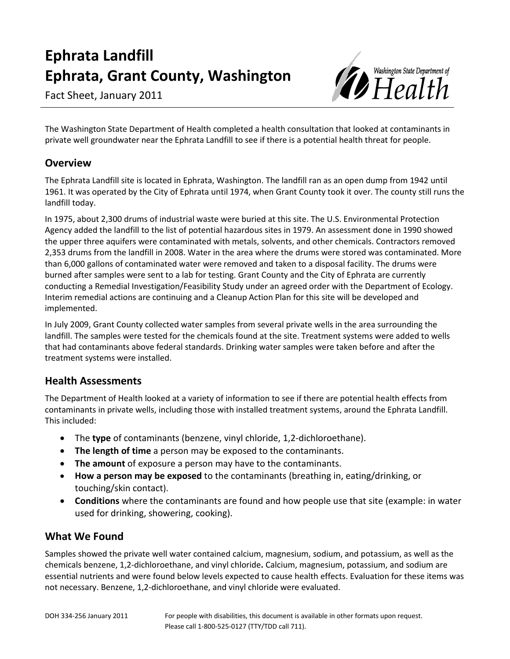# **Ephrata Landfill Ephrata, Grant County, Washington**

Fact Sheet, January 2011



The Washington State Department of Health completed a health consultation that looked at contaminants in private well groundwater near the Ephrata Landfill to see if there is a potential health threat for people.

#### **Overview**

The Ephrata Landfill site is located in Ephrata, Washington. The landfill ran as an open dump from 1942 until 1961. It was operated by the City of Ephrata until 1974, when Grant County took it over. The county still runs the landfill today.

In 1975, about 2,300 drums of industrial waste were buried at this site. The U.S. Environmental Protection Agency added the landfill to the list of potential hazardous sites in 1979. An assessment done in 1990 showed the upper three aquifers were contaminated with metals, solvents, and other chemicals. Contractors removed 2,353 drums from the landfill in 2008. Water in the area where the drums were stored was contaminated. More than 6,000 gallons of contaminated water were removed and taken to a disposal facility. The drums were burned after samples were sent to a lab for testing. Grant County and the City of Ephrata are currently conducting a Remedial Investigation/Feasibility Study under an agreed order with the Department of Ecology. Interim remedial actions are continuing and a Cleanup Action Plan for this site will be developed and implemented.

In July 2009, Grant County collected water samples from several private wells in the area surrounding the landfill. The samples were tested for the chemicals found at the site. Treatment systems were added to wells that had contaminants above federal standards. Drinking water samples were taken before and after the treatment systems were installed.

#### **Health Assessments**

The Department of Health looked at a variety of information to see if there are potential health effects from contaminants in private wells, including those with installed treatment systems, around the Ephrata Landfill. This included:

- The **type** of contaminants (benzene, vinyl chloride, 1,2-dichloroethane).
- **The length of time** a person may be exposed to the contaminants.
- **The amount** of exposure a person may have to the contaminants.
- **How a person may be exposed** to the contaminants (breathing in, eating/drinking, or touching/skin contact).
- **Conditions** where the contaminants are found and how people use that site (example: in water used for drinking, showering, cooking).

## **What We Found**

Samples showed the private well water contained calcium, magnesium, sodium, and potassium, as well as the chemicals benzene, 1,2-dichloroethane, and vinyl chloride**.** Calcium, magnesium, potassium, and sodium are essential nutrients and were found below levels expected to cause health effects. Evaluation for these items was not necessary. Benzene, 1,2-dichloroethane, and vinyl chloride were evaluated.